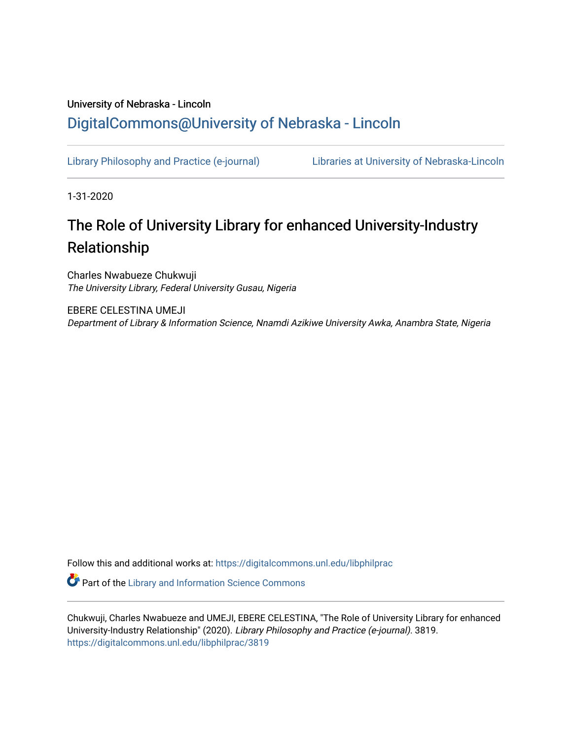## University of Nebraska - Lincoln [DigitalCommons@University of Nebraska - Lincoln](https://digitalcommons.unl.edu/)

[Library Philosophy and Practice \(e-journal\)](https://digitalcommons.unl.edu/libphilprac) [Libraries at University of Nebraska-Lincoln](https://digitalcommons.unl.edu/libraries) 

1-31-2020

# The Role of University Library for enhanced University-Industry Relationship

Charles Nwabueze Chukwuji The University Library, Federal University Gusau, Nigeria

EBERE CELESTINA UMEJI Department of Library & Information Science, Nnamdi Azikiwe University Awka, Anambra State, Nigeria

Follow this and additional works at: [https://digitalcommons.unl.edu/libphilprac](https://digitalcommons.unl.edu/libphilprac?utm_source=digitalcommons.unl.edu%2Flibphilprac%2F3819&utm_medium=PDF&utm_campaign=PDFCoverPages) 

**C** Part of the Library and Information Science Commons

Chukwuji, Charles Nwabueze and UMEJI, EBERE CELESTINA, "The Role of University Library for enhanced University-Industry Relationship" (2020). Library Philosophy and Practice (e-journal). 3819. [https://digitalcommons.unl.edu/libphilprac/3819](https://digitalcommons.unl.edu/libphilprac/3819?utm_source=digitalcommons.unl.edu%2Flibphilprac%2F3819&utm_medium=PDF&utm_campaign=PDFCoverPages)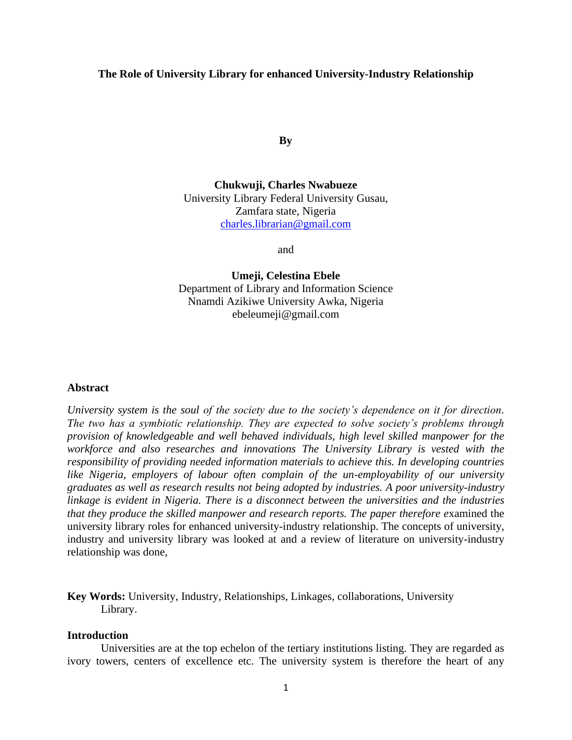## **The Role of University Library for enhanced University-Industry Relationship**

**By**

**Chukwuji, Charles Nwabueze** University Library Federal University Gusau, Zamfara state, Nigeria [charles.librarian@gmail.com](mailto:charles.librarian@gmail.com)

and

**Umeji, Celestina Ebele** Department of Library and Information Science Nnamdi Azikiwe University Awka, Nigeria ebeleumeji@gmail.com

#### **Abstract**

*University system is the soul of the society due to the society's dependence on it for direction. The two has a symbiotic relationship. They are expected to solve society's problems through provision of knowledgeable and well behaved individuals, high level skilled manpower for the workforce and also researches and innovations The University Library is vested with the responsibility of providing needed information materials to achieve this. In developing countries like Nigeria, employers of labour often complain of the un-employability of our university graduates as well as research results not being adopted by industries. A poor university-industry linkage is evident in Nigeria. There is a disconnect between the universities and the industries that they produce the skilled manpower and research reports. The paper therefore e*xamined the university library roles for enhanced university-industry relationship. The concepts of university, industry and university library was looked at and a review of literature on university-industry relationship was done,

**Key Words:** University, Industry, Relationships, Linkages, collaborations, University Library.

#### **Introduction**

Universities are at the top echelon of the tertiary institutions listing. They are regarded as ivory towers, centers of excellence etc. The university system is therefore the heart of any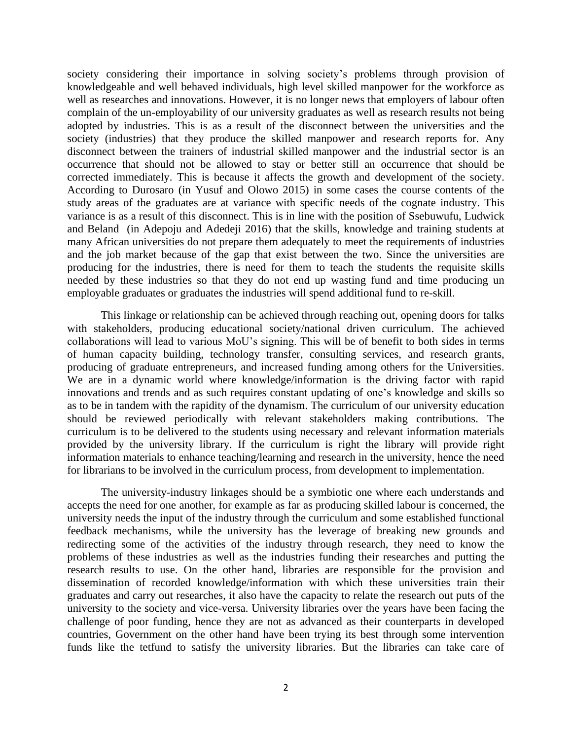society considering their importance in solving society's problems through provision of knowledgeable and well behaved individuals, high level skilled manpower for the workforce as well as researches and innovations. However, it is no longer news that employers of labour often complain of the un-employability of our university graduates as well as research results not being adopted by industries. This is as a result of the disconnect between the universities and the society (industries) that they produce the skilled manpower and research reports for. Any disconnect between the trainers of industrial skilled manpower and the industrial sector is an occurrence that should not be allowed to stay or better still an occurrence that should be corrected immediately. This is because it affects the growth and development of the society. According to Durosaro (in Yusuf and Olowo 2015) in some cases the course contents of the study areas of the graduates are at variance with specific needs of the cognate industry. This variance is as a result of this disconnect. This is in line with the position of Ssebuwufu, Ludwick and Beland (in Adepoju and Adedeji 2016) that the skills, knowledge and training students at many African universities do not prepare them adequately to meet the requirements of industries and the job market because of the gap that exist between the two. Since the universities are producing for the industries, there is need for them to teach the students the requisite skills needed by these industries so that they do not end up wasting fund and time producing un employable graduates or graduates the industries will spend additional fund to re-skill.

This linkage or relationship can be achieved through reaching out, opening doors for talks with stakeholders, producing educational society/national driven curriculum. The achieved collaborations will lead to various MoU's signing. This will be of benefit to both sides in terms of human capacity building, technology transfer, consulting services, and research grants, producing of graduate entrepreneurs, and increased funding among others for the Universities. We are in a dynamic world where knowledge/information is the driving factor with rapid innovations and trends and as such requires constant updating of one's knowledge and skills so as to be in tandem with the rapidity of the dynamism. The curriculum of our university education should be reviewed periodically with relevant stakeholders making contributions. The curriculum is to be delivered to the students using necessary and relevant information materials provided by the university library. If the curriculum is right the library will provide right information materials to enhance teaching/learning and research in the university, hence the need for librarians to be involved in the curriculum process, from development to implementation.

The university-industry linkages should be a symbiotic one where each understands and accepts the need for one another, for example as far as producing skilled labour is concerned, the university needs the input of the industry through the curriculum and some established functional feedback mechanisms, while the university has the leverage of breaking new grounds and redirecting some of the activities of the industry through research, they need to know the problems of these industries as well as the industries funding their researches and putting the research results to use. On the other hand, libraries are responsible for the provision and dissemination of recorded knowledge/information with which these universities train their graduates and carry out researches, it also have the capacity to relate the research out puts of the university to the society and vice-versa. University libraries over the years have been facing the challenge of poor funding, hence they are not as advanced as their counterparts in developed countries, Government on the other hand have been trying its best through some intervention funds like the tetfund to satisfy the university libraries. But the libraries can take care of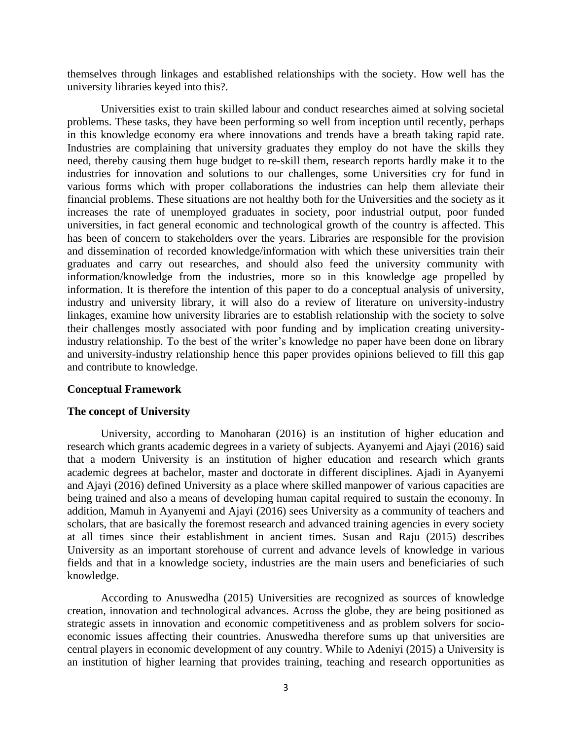themselves through linkages and established relationships with the society. How well has the university libraries keyed into this?.

Universities exist to train skilled labour and conduct researches aimed at solving societal problems. These tasks, they have been performing so well from inception until recently, perhaps in this knowledge economy era where innovations and trends have a breath taking rapid rate. Industries are complaining that university graduates they employ do not have the skills they need, thereby causing them huge budget to re-skill them, research reports hardly make it to the industries for innovation and solutions to our challenges, some Universities cry for fund in various forms which with proper collaborations the industries can help them alleviate their financial problems. These situations are not healthy both for the Universities and the society as it increases the rate of unemployed graduates in society, poor industrial output, poor funded universities, in fact general economic and technological growth of the country is affected. This has been of concern to stakeholders over the years. Libraries are responsible for the provision and dissemination of recorded knowledge/information with which these universities train their graduates and carry out researches, and should also feed the university community with information/knowledge from the industries, more so in this knowledge age propelled by information. It is therefore the intention of this paper to do a conceptual analysis of university, industry and university library, it will also do a review of literature on university-industry linkages, examine how university libraries are to establish relationship with the society to solve their challenges mostly associated with poor funding and by implication creating universityindustry relationship. To the best of the writer's knowledge no paper have been done on library and university-industry relationship hence this paper provides opinions believed to fill this gap and contribute to knowledge.

#### **Conceptual Framework**

#### **The concept of University**

University, according to Manoharan (2016) is an institution of higher education and research which grants academic degrees in a variety of subjects. Ayanyemi and Ajayi (2016) said that a modern University is an institution of higher education and research which grants academic degrees at bachelor, master and doctorate in different disciplines. Ajadi in Ayanyemi and Ajayi (2016) defined University as a place where skilled manpower of various capacities are being trained and also a means of developing human capital required to sustain the economy. In addition, Mamuh in Ayanyemi and Ajayi (2016) sees University as a community of teachers and scholars, that are basically the foremost research and advanced training agencies in every society at all times since their establishment in ancient times. Susan and Raju (2015) describes University as an important storehouse of current and advance levels of knowledge in various fields and that in a knowledge society, industries are the main users and beneficiaries of such knowledge.

According to Anuswedha (2015) Universities are recognized as sources of knowledge creation, innovation and technological advances. Across the globe, they are being positioned as strategic assets in innovation and economic competitiveness and as problem solvers for socioeconomic issues affecting their countries. Anuswedha therefore sums up that universities are central players in economic development of any country. While to Adeniyi (2015) a University is an institution of higher learning that provides training, teaching and research opportunities as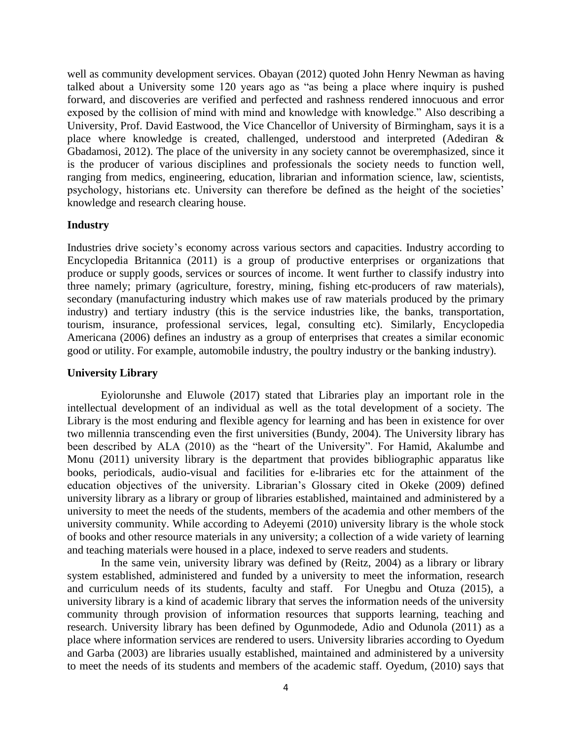well as community development services. Obayan (2012) quoted John Henry Newman as having talked about a University some 120 years ago as "as being a place where inquiry is pushed forward, and discoveries are verified and perfected and rashness rendered innocuous and error exposed by the collision of mind with mind and knowledge with knowledge." Also describing a University, Prof. David Eastwood, the Vice Chancellor of University of Birmingham, says it is a place where knowledge is created, challenged, understood and interpreted (Adediran & Gbadamosi, 2012). The place of the university in any society cannot be overemphasized, since it is the producer of various disciplines and professionals the society needs to function well, ranging from medics, engineering, education, librarian and information science, law, scientists, psychology, historians etc. University can therefore be defined as the height of the societies' knowledge and research clearing house.

#### **Industry**

Industries drive society's economy across various sectors and capacities. Industry according to Encyclopedia Britannica (2011) is a group of productive enterprises or organizations that produce or supply goods, services or sources of income. It went further to classify industry into three namely; primary (agriculture, forestry, mining, fishing etc-producers of raw materials), secondary (manufacturing industry which makes use of raw materials produced by the primary industry) and tertiary industry (this is the service industries like, the banks, transportation, tourism, insurance, professional services, legal, consulting etc). Similarly, Encyclopedia Americana (2006) defines an industry as a group of enterprises that creates a similar economic good or utility. For example, automobile industry, the poultry industry or the banking industry).

#### **University Library**

Eyiolorunshe and Eluwole (2017) stated that Libraries play an important role in the intellectual development of an individual as well as the total development of a society. The Library is the most enduring and flexible agency for learning and has been in existence for over two millennia transcending even the first universities (Bundy, 2004). The University library has been described by ALA (2010) as the "heart of the University". For Hamid, Akalumbe and Monu (2011) university library is the department that provides bibliographic apparatus like books, periodicals, audio-visual and facilities for e-libraries etc for the attainment of the education objectives of the university. Librarian's Glossary cited in Okeke (2009) defined university library as a library or group of libraries established, maintained and administered by a university to meet the needs of the students, members of the academia and other members of the university community. While according to Adeyemi (2010) university library is the whole stock of books and other resource materials in any university; a collection of a wide variety of learning and teaching materials were housed in a place, indexed to serve readers and students.

In the same vein, university library was defined by (Reitz, 2004) as a library or library system established, administered and funded by a university to meet the information, research and curriculum needs of its students, faculty and staff. For Unegbu and Otuza (2015), a university library is a kind of academic library that serves the information needs of the university community through provision of information resources that supports learning, teaching and research. University library has been defined by Ogunmodede, Adio and Odunola (2011) as a place where information services are rendered to users. University libraries according to Oyedum and Garba (2003) are libraries usually established, maintained and administered by a university to meet the needs of its students and members of the academic staff. Oyedum, (2010) says that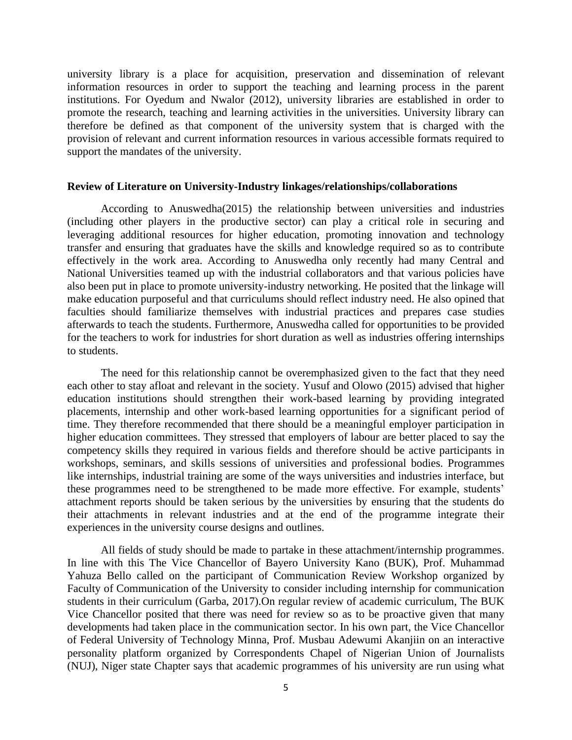university library is a place for acquisition, preservation and dissemination of relevant information resources in order to support the teaching and learning process in the parent institutions. For Oyedum and Nwalor (2012), university libraries are established in order to promote the research, teaching and learning activities in the universities. University library can therefore be defined as that component of the university system that is charged with the provision of relevant and current information resources in various accessible formats required to support the mandates of the university.

#### **Review of Literature on University-Industry linkages/relationships/collaborations**

According to Anuswedha(2015) the relationship between universities and industries (including other players in the productive sector) can play a critical role in securing and leveraging additional resources for higher education, promoting innovation and technology transfer and ensuring that graduates have the skills and knowledge required so as to contribute effectively in the work area. According to Anuswedha only recently had many Central and National Universities teamed up with the industrial collaborators and that various policies have also been put in place to promote university-industry networking. He posited that the linkage will make education purposeful and that curriculums should reflect industry need. He also opined that faculties should familiarize themselves with industrial practices and prepares case studies afterwards to teach the students. Furthermore, Anuswedha called for opportunities to be provided for the teachers to work for industries for short duration as well as industries offering internships to students.

The need for this relationship cannot be overemphasized given to the fact that they need each other to stay afloat and relevant in the society. Yusuf and Olowo (2015) advised that higher education institutions should strengthen their work-based learning by providing integrated placements, internship and other work-based learning opportunities for a significant period of time. They therefore recommended that there should be a meaningful employer participation in higher education committees. They stressed that employers of labour are better placed to say the competency skills they required in various fields and therefore should be active participants in workshops, seminars, and skills sessions of universities and professional bodies. Programmes like internships, industrial training are some of the ways universities and industries interface, but these programmes need to be strengthened to be made more effective. For example, students' attachment reports should be taken serious by the universities by ensuring that the students do their attachments in relevant industries and at the end of the programme integrate their experiences in the university course designs and outlines.

All fields of study should be made to partake in these attachment/internship programmes. In line with this The Vice Chancellor of Bayero University Kano (BUK), Prof. Muhammad Yahuza Bello called on the participant of Communication Review Workshop organized by Faculty of Communication of the University to consider including internship for communication students in their curriculum (Garba, 2017).On regular review of academic curriculum, The BUK Vice Chancellor posited that there was need for review so as to be proactive given that many developments had taken place in the communication sector. In his own part, the Vice Chancellor of Federal University of Technology Minna, Prof. Musbau Adewumi Akanjiin on an interactive personality platform organized by Correspondents Chapel of Nigerian Union of Journalists (NUJ), Niger state Chapter says that academic programmes of his university are run using what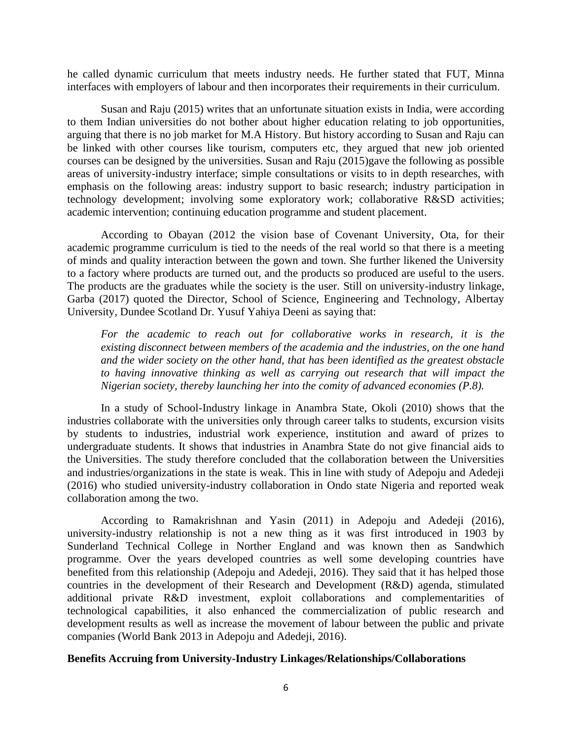he called dynamic curriculum that meets industry needs. He further stated that FUT, Minna interfaces with employers of labour and then incorporates their requirements in their curriculum.

Susan and Raju (2015) writes that an unfortunate situation exists in India, were according to them Indian universities do not bother about higher education relating to job opportunities, arguing that there is no job market for M.A History. But history according to Susan and Raju can be linked with other courses like tourism, computers etc, they argued that new job oriented courses can be designed by the universities. Susan and Raju (2015)gave the following as possible areas of university-industry interface; simple consultations or visits to in depth researches, with emphasis on the following areas: industry support to basic research; industry participation in technology development; involving some exploratory work; collaborative R&SD activities; academic intervention; continuing education programme and student placement.

According to Obayan (2012 the vision base of Covenant University, Ota, for their academic programme curriculum is tied to the needs of the real world so that there is a meeting of minds and quality interaction between the gown and town. She further likened the University to a factory where products are turned out, and the products so produced are useful to the users. The products are the graduates while the society is the user. Still on university-industry linkage, Garba (2017) quoted the Director, School of Science, Engineering and Technology, Albertay University, Dundee Scotland Dr. Yusuf Yahiya Deeni as saying that:

*For the academic to reach out for collaborative works in research, it is the existing disconnect between members of the academia and the industries, on the one hand and the wider society on the other hand, that has been identified as the greatest obstacle to having innovative thinking as well as carrying out research that will impact the Nigerian society, thereby launching her into the comity of advanced economies (P.8).*

In a study of School-Industry linkage in Anambra State, Okoli (2010) shows that the industries collaborate with the universities only through career talks to students, excursion visits by students to industries, industrial work experience, institution and award of prizes to undergraduate students. It shows that industries in Anambra State do not give financial aids to the Universities. The study therefore concluded that the collaboration between the Universities and industries/organizations in the state is weak. This in line with study of Adepoju and Adedeji (2016) who studied university-industry collaboration in Ondo state Nigeria and reported weak collaboration among the two.

According to Ramakrishnan and Yasin (2011) in Adepoju and Adedeji (2016), university-industry relationship is not a new thing as it was first introduced in 1903 by Sunderland Technical College in Norther England and was known then as Sandwhich programme. Over the years developed countries as well some developing countries have benefited from this relationship (Adepoju and Adedeji, 2016). They said that it has helped those countries in the development of their Research and Development (R&D) agenda, stimulated additional private R&D investment, exploit collaborations and complementarities of technological capabilities, it also enhanced the commercialization of public research and development results as well as increase the movement of labour between the public and private companies (World Bank 2013 in Adepoju and Adedeji, 2016).

#### **Benefits Accruing from University-Industry Linkages/Relationships/Collaborations**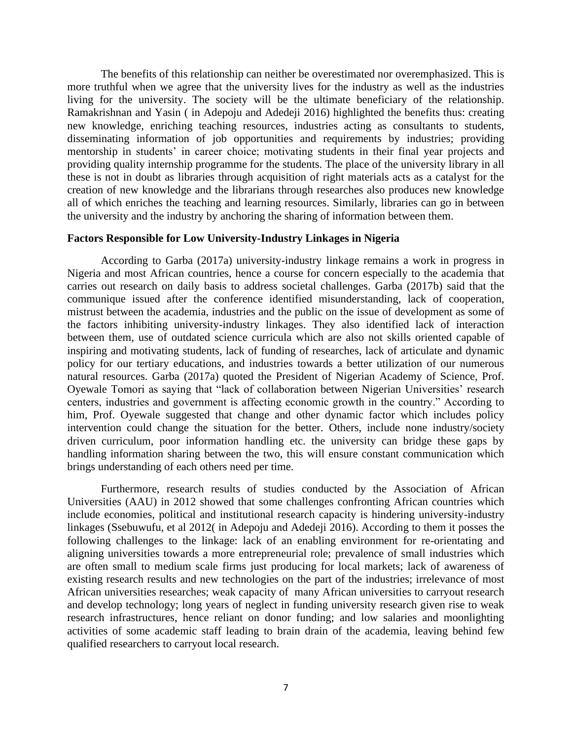The benefits of this relationship can neither be overestimated nor overemphasized. This is more truthful when we agree that the university lives for the industry as well as the industries living for the university. The society will be the ultimate beneficiary of the relationship. Ramakrishnan and Yasin ( in Adepoju and Adedeji 2016) highlighted the benefits thus: creating new knowledge, enriching teaching resources, industries acting as consultants to students, disseminating information of job opportunities and requirements by industries; providing mentorship in students' in career choice; motivating students in their final year projects and providing quality internship programme for the students. The place of the university library in all these is not in doubt as libraries through acquisition of right materials acts as a catalyst for the creation of new knowledge and the librarians through researches also produces new knowledge all of which enriches the teaching and learning resources. Similarly, libraries can go in between the university and the industry by anchoring the sharing of information between them.

#### **Factors Responsible for Low University-Industry Linkages in Nigeria**

According to Garba (2017a) university-industry linkage remains a work in progress in Nigeria and most African countries, hence a course for concern especially to the academia that carries out research on daily basis to address societal challenges. Garba (2017b) said that the communique issued after the conference identified misunderstanding, lack of cooperation, mistrust between the academia, industries and the public on the issue of development as some of the factors inhibiting university-industry linkages. They also identified lack of interaction between them, use of outdated science curricula which are also not skills oriented capable of inspiring and motivating students, lack of funding of researches, lack of articulate and dynamic policy for our tertiary educations, and industries towards a better utilization of our numerous natural resources. Garba (2017a) quoted the President of Nigerian Academy of Science, Prof. Oyewale Tomori as saying that "lack of collaboration between Nigerian Universities' research centers, industries and government is affecting economic growth in the country." According to him, Prof. Oyewale suggested that change and other dynamic factor which includes policy intervention could change the situation for the better. Others, include none industry/society driven curriculum, poor information handling etc. the university can bridge these gaps by handling information sharing between the two, this will ensure constant communication which brings understanding of each others need per time.

Furthermore, research results of studies conducted by the Association of African Universities (AAU) in 2012 showed that some challenges confronting African countries which include economies, political and institutional research capacity is hindering university-industry linkages (Ssebuwufu, et al 2012( in Adepoju and Adedeji 2016). According to them it posses the following challenges to the linkage: lack of an enabling environment for re-orientating and aligning universities towards a more entrepreneurial role; prevalence of small industries which are often small to medium scale firms just producing for local markets; lack of awareness of existing research results and new technologies on the part of the industries; irrelevance of most African universities researches; weak capacity of many African universities to carryout research and develop technology; long years of neglect in funding university research given rise to weak research infrastructures, hence reliant on donor funding; and low salaries and moonlighting activities of some academic staff leading to brain drain of the academia, leaving behind few qualified researchers to carryout local research.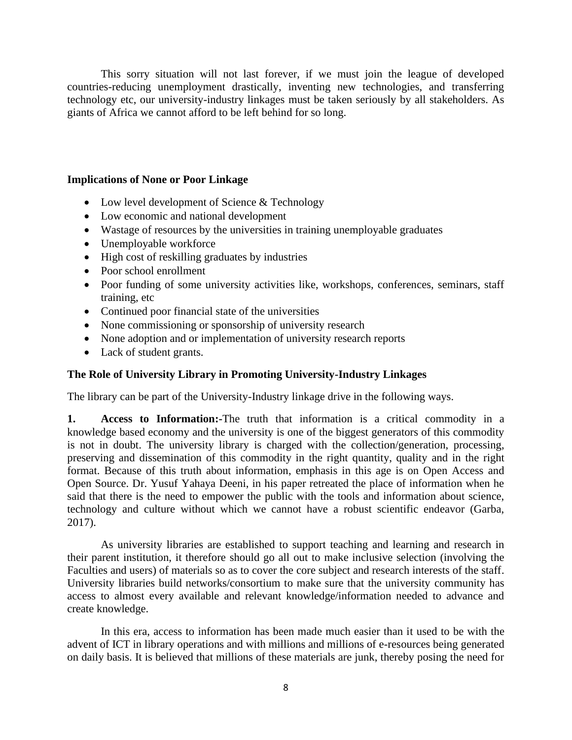This sorry situation will not last forever, if we must join the league of developed countries-reducing unemployment drastically, inventing new technologies, and transferring technology etc, our university-industry linkages must be taken seriously by all stakeholders. As giants of Africa we cannot afford to be left behind for so long.

## **Implications of None or Poor Linkage**

- Low level development of Science & Technology
- Low economic and national development
- Wastage of resources by the universities in training unemployable graduates
- Unemployable workforce
- High cost of reskilling graduates by industries
- Poor school enrollment
- Poor funding of some university activities like, workshops, conferences, seminars, staff training, etc
- Continued poor financial state of the universities
- None commissioning or sponsorship of university research
- None adoption and or implementation of university research reports
- Lack of student grants.

## **The Role of University Library in Promoting University-Industry Linkages**

The library can be part of the University-Industry linkage drive in the following ways.

**1. Access to Information:-**The truth that information is a critical commodity in a knowledge based economy and the university is one of the biggest generators of this commodity is not in doubt. The university library is charged with the collection/generation, processing, preserving and dissemination of this commodity in the right quantity, quality and in the right format. Because of this truth about information, emphasis in this age is on Open Access and Open Source. Dr. Yusuf Yahaya Deeni, in his paper retreated the place of information when he said that there is the need to empower the public with the tools and information about science, technology and culture without which we cannot have a robust scientific endeavor (Garba, 2017).

As university libraries are established to support teaching and learning and research in their parent institution, it therefore should go all out to make inclusive selection (involving the Faculties and users) of materials so as to cover the core subject and research interests of the staff. University libraries build networks/consortium to make sure that the university community has access to almost every available and relevant knowledge/information needed to advance and create knowledge.

In this era, access to information has been made much easier than it used to be with the advent of ICT in library operations and with millions and millions of e-resources being generated on daily basis. It is believed that millions of these materials are junk, thereby posing the need for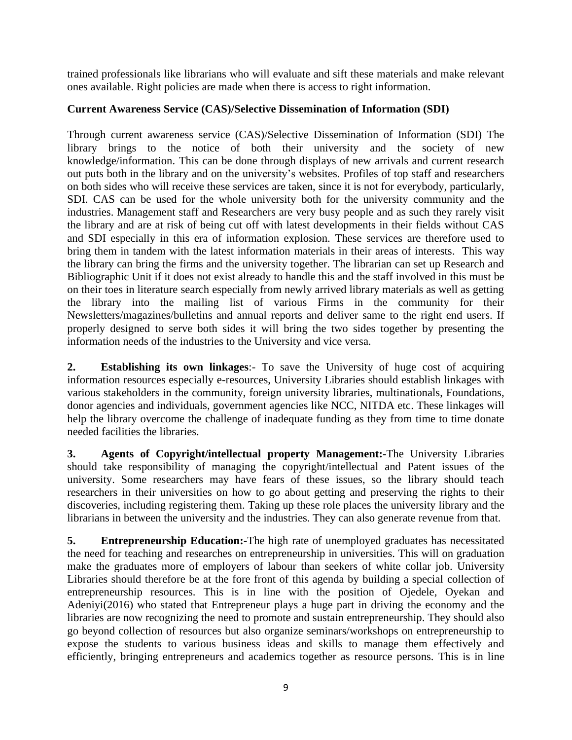trained professionals like librarians who will evaluate and sift these materials and make relevant ones available. Right policies are made when there is access to right information.

## **Current Awareness Service (CAS)/Selective Dissemination of Information (SDI)**

Through current awareness service (CAS)/Selective Dissemination of Information (SDI) The library brings to the notice of both their university and the society of new knowledge/information. This can be done through displays of new arrivals and current research out puts both in the library and on the university's websites. Profiles of top staff and researchers on both sides who will receive these services are taken, since it is not for everybody, particularly, SDI. CAS can be used for the whole university both for the university community and the industries. Management staff and Researchers are very busy people and as such they rarely visit the library and are at risk of being cut off with latest developments in their fields without CAS and SDI especially in this era of information explosion. These services are therefore used to bring them in tandem with the latest information materials in their areas of interests. This way the library can bring the firms and the university together. The librarian can set up Research and Bibliographic Unit if it does not exist already to handle this and the staff involved in this must be on their toes in literature search especially from newly arrived library materials as well as getting the library into the mailing list of various Firms in the community for their Newsletters/magazines/bulletins and annual reports and deliver same to the right end users. If properly designed to serve both sides it will bring the two sides together by presenting the information needs of the industries to the University and vice versa.

**2. Establishing its own linkages**:- To save the University of huge cost of acquiring information resources especially e-resources, University Libraries should establish linkages with various stakeholders in the community, foreign university libraries, multinationals, Foundations, donor agencies and individuals, government agencies like NCC, NITDA etc. These linkages will help the library overcome the challenge of inadequate funding as they from time to time donate needed facilities the libraries.

**3. Agents of Copyright/intellectual property Management:-**The University Libraries should take responsibility of managing the copyright/intellectual and Patent issues of the university. Some researchers may have fears of these issues, so the library should teach researchers in their universities on how to go about getting and preserving the rights to their discoveries, including registering them. Taking up these role places the university library and the librarians in between the university and the industries. They can also generate revenue from that.

**5. Entrepreneurship Education:-**The high rate of unemployed graduates has necessitated the need for teaching and researches on entrepreneurship in universities. This will on graduation make the graduates more of employers of labour than seekers of white collar job. University Libraries should therefore be at the fore front of this agenda by building a special collection of entrepreneurship resources. This is in line with the position of Ojedele, Oyekan and Adeniyi(2016) who stated that Entrepreneur plays a huge part in driving the economy and the libraries are now recognizing the need to promote and sustain entrepreneurship. They should also go beyond collection of resources but also organize seminars/workshops on entrepreneurship to expose the students to various business ideas and skills to manage them effectively and efficiently, bringing entrepreneurs and academics together as resource persons. This is in line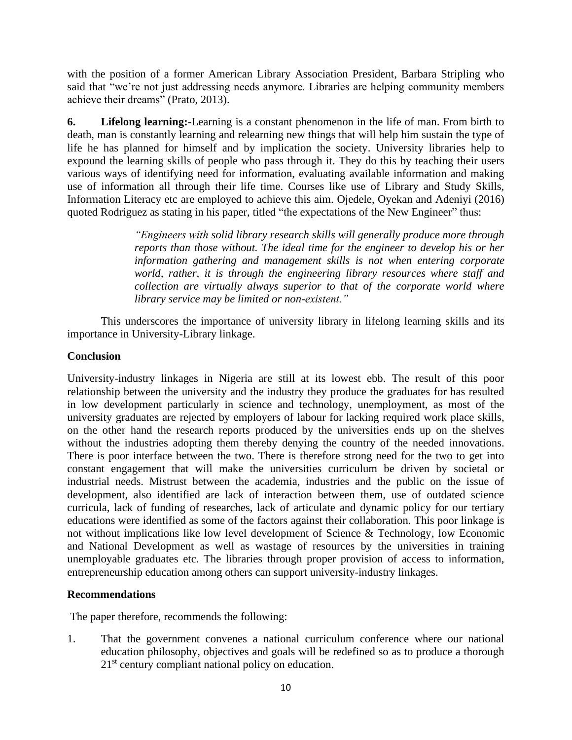with the position of a former American Library Association President, Barbara Stripling who said that "we're not just addressing needs anymore. Libraries are helping community members achieve their dreams" (Prato, 2013).

**6. Lifelong learning:-**Learning is a constant phenomenon in the life of man. From birth to death, man is constantly learning and relearning new things that will help him sustain the type of life he has planned for himself and by implication the society. University libraries help to expound the learning skills of people who pass through it. They do this by teaching their users various ways of identifying need for information, evaluating available information and making use of information all through their life time. Courses like use of Library and Study Skills, Information Literacy etc are employed to achieve this aim. Ojedele, Oyekan and Adeniyi (2016) quoted Rodriguez as stating in his paper, titled "the expectations of the New Engineer" thus:

> *"Engineers with solid library research skills will generally produce more through reports than those without. The ideal time for the engineer to develop his or her information gathering and management skills is not when entering corporate world, rather, it is through the engineering library resources where staff and collection are virtually always superior to that of the corporate world where library service may be limited or non-existent."*

This underscores the importance of university library in lifelong learning skills and its importance in University-Library linkage.

## **Conclusion**

University-industry linkages in Nigeria are still at its lowest ebb. The result of this poor relationship between the university and the industry they produce the graduates for has resulted in low development particularly in science and technology, unemployment, as most of the university graduates are rejected by employers of labour for lacking required work place skills, on the other hand the research reports produced by the universities ends up on the shelves without the industries adopting them thereby denying the country of the needed innovations. There is poor interface between the two. There is therefore strong need for the two to get into constant engagement that will make the universities curriculum be driven by societal or industrial needs. Mistrust between the academia, industries and the public on the issue of development, also identified are lack of interaction between them, use of outdated science curricula, lack of funding of researches, lack of articulate and dynamic policy for our tertiary educations were identified as some of the factors against their collaboration. This poor linkage is not without implications like low level development of Science & Technology, low Economic and National Development as well as wastage of resources by the universities in training unemployable graduates etc. The libraries through proper provision of access to information, entrepreneurship education among others can support university-industry linkages.

## **Recommendations**

The paper therefore, recommends the following:

1. That the government convenes a national curriculum conference where our national education philosophy, objectives and goals will be redefined so as to produce a thorough 21<sup>st</sup> century compliant national policy on education.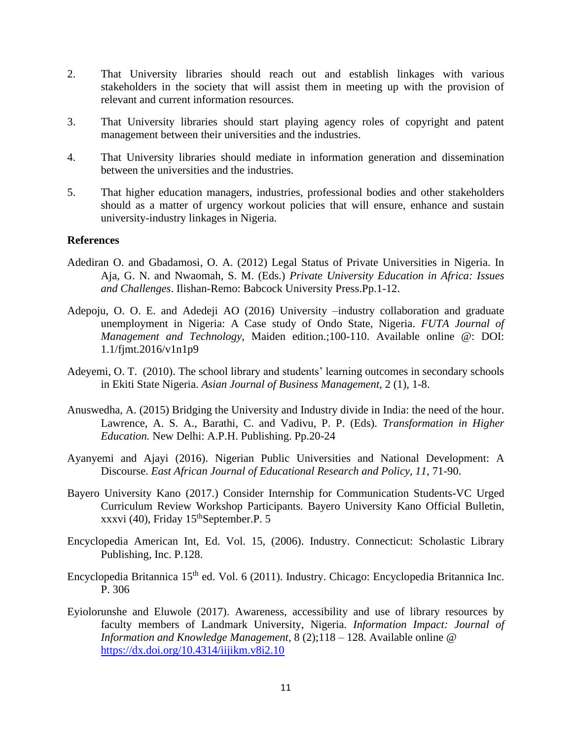- 2. That University libraries should reach out and establish linkages with various stakeholders in the society that will assist them in meeting up with the provision of relevant and current information resources.
- 3. That University libraries should start playing agency roles of copyright and patent management between their universities and the industries.
- 4. That University libraries should mediate in information generation and dissemination between the universities and the industries.
- 5. That higher education managers, industries, professional bodies and other stakeholders should as a matter of urgency workout policies that will ensure, enhance and sustain university-industry linkages in Nigeria.

### **References**

- Adediran O. and Gbadamosi, O. A. (2012) Legal Status of Private Universities in Nigeria. In Aja, G. N. and Nwaomah, S. M. (Eds.) *Private University Education in Africa: Issues and Challenges*. Ilishan-Remo: Babcock University Press.Pp.1-12.
- Adepoju, O. O. E. and Adedeji AO (2016) University –industry collaboration and graduate unemployment in Nigeria: A Case study of Ondo State, Nigeria. *FUTA Journal of Management and Technology,* Maiden edition.;100-110. Available online @: DOI: 1.1/fjmt.2016/v1n1p9
- Adeyemi, O. T. (2010). The school library and students' learning outcomes in secondary schools in Ekiti State Nigeria. *Asian Journal of Business Management*, 2 (1), 1-8.
- Anuswedha, A. (2015) Bridging the University and Industry divide in India: the need of the hour. Lawrence, A. S. A., Barathi, C. and Vadivu, P. P. (Eds). *Transformation in Higher Education.* New Delhi: A.P.H. Publishing. Pp.20-24
- Ayanyemi and Ajayi (2016). Nigerian Public Universities and National Development: A Discourse. *East African Journal of Educational Research and Policy, 11*, 71-90.
- Bayero University Kano (2017.) Consider Internship for Communication Students-VC Urged Curriculum Review Workshop Participants. Bayero University Kano Official Bulletin, xxxvi (40), Friday 15<sup>th</sup>September.P. 5
- Encyclopedia American Int, Ed. Vol. 15, (2006). Industry. Connecticut: Scholastic Library Publishing, Inc. P.128.
- Encyclopedia Britannica 15<sup>th</sup> ed. Vol. 6 (2011). Industry. Chicago: Encyclopedia Britannica Inc. P. 306
- Eyiolorunshe and Eluwole (2017). Awareness, accessibility and use of library resources by faculty members of Landmark University, Nigeria. *Information Impact: Journal of Information and Knowledge Management,* 8 (2);118 – 128. Available online @ <https://dx.doi.org/10.4314/iijikm.v8i2.10>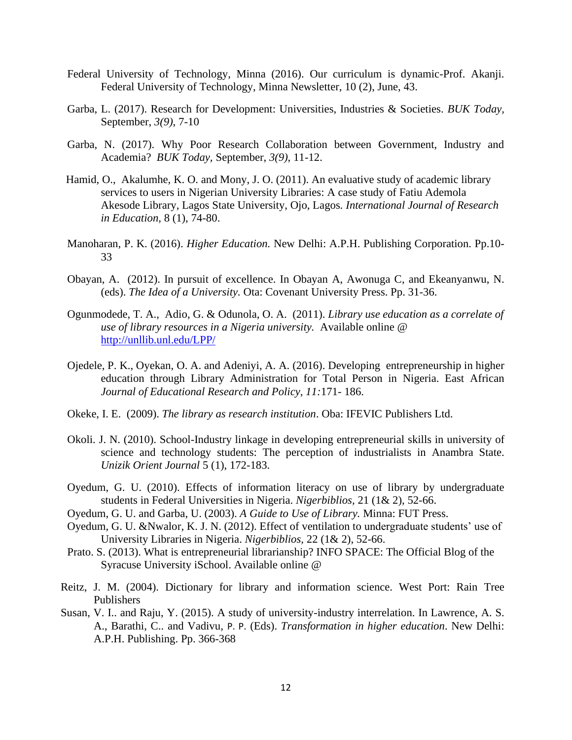- Federal University of Technology, Minna (2016). Our curriculum is dynamic-Prof. Akanji. Federal University of Technology, Minna Newsletter, 10 (2), June, 43.
- Garba, L. (2017). Research for Development: Universities, Industries & Societies. *BUK Today,*  September, *3(9)*, 7-10
- Garba, N. (2017). Why Poor Research Collaboration between Government, Industry and Academia? *BUK Today,* September, *3(9)*, 11-12.
- Hamid, O., Akalumhe, K. O. and Mony, J. O. (2011). An evaluative study of academic library services to users in Nigerian University Libraries: A case study of Fatiu Ademola Akesode Library, Lagos State University, Ojo, Lagos*. International Journal of Research in Education,* 8 (1), 74-80.
- Manoharan, P. K. (2016). *Higher Education.* New Delhi: A.P.H. Publishing Corporation. Pp.10- 33
- Obayan, A. (2012). In pursuit of excellence. In Obayan A, Awonuga C, and Ekeanyanwu, N. (eds). *The Idea of a University.* Ota: Covenant University Press. Pp. 31-36.
- Ogunmodede, T. A., Adio, G. & Odunola, O. A. (2011). *Library use education as a correlate of use of library resources in a Nigeria university.* Available online @ <http://unllib.unl.edu/LPP/>
- Ojedele, P. K., Oyekan, O. A. and Adeniyi, A. A. (2016). Developing entrepreneurship in higher education through Library Administration for Total Person in Nigeria. East African *Journal of Educational Research and Policy, 11:*171- 186.
- Okeke, I. E. (2009). *The library as research institution*. Oba: IFEVIC Publishers Ltd.
- Okoli. J. N. (2010). School-Industry linkage in developing entrepreneurial skills in university of science and technology students: The perception of industrialists in Anambra State. *Unizik Orient Journal* 5 (1), 172-183.
- Oyedum, G. U. (2010). Effects of information literacy on use of library by undergraduate students in Federal Universities in Nigeria. *Nigerbiblios,* 21 (1& 2), 52-66.
- Oyedum, G. U. and Garba, U. (2003). *A Guide to Use of Library.* Minna: FUT Press.
- Oyedum, G. U. &Nwalor, K. J. N. (2012). Effect of ventilation to undergraduate students' use of University Libraries in Nigeria. *Nigerbiblios,* 22 (1& 2), 52-66.
- Prato. S. (2013). What is entrepreneurial librarianship? INFO SPACE: The Official Blog of the Syracuse University iSchool. Available online @
- Reitz, J. M. (2004). Dictionary for library and information science. West Port: Rain Tree Publishers
- Susan, V. I.. and Raju, Y. (2015). A study of university-industry interrelation. In Lawrence, A. S. A., Barathi, C.. and Vadivu, P. P. (Eds). *Transformation in higher education*. New Delhi: A.P.H. Publishing. Pp. 366-368